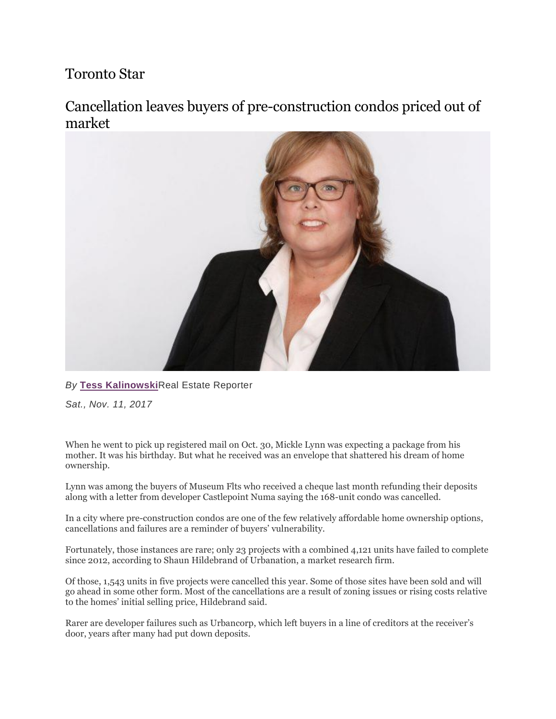## Toronto Star

Cancellation leaves buyers of pre-construction condos priced out of market



## *By* **[Tess Kalinowski](https://www.thestar.com/authors.kalinowski_tess.html)**Real Estate Reporter

*Sat., Nov. 11, 2017*

When he went to pick up registered mail on Oct. 30, Mickle Lynn was expecting a package from his mother. It was his birthday. But what he received was an envelope that shattered his dream of home ownership.

Lynn was among the buyers of Museum Flts who received a cheque last month refunding their deposits along with a letter from developer Castlepoint Numa saying the 168-unit condo was cancelled.

In a city where pre-construction condos are one of the few relatively affordable home ownership options, cancellations and failures are a reminder of buyers' vulnerability.

Fortunately, those instances are rare; only 23 projects with a combined 4,121 units have failed to complete since 2012, according to Shaun Hildebrand of Urbanation, a market research firm.

Of those, 1,543 units in five projects were cancelled this year. Some of those sites have been sold and will go ahead in some other form. Most of the cancellations are a result of zoning issues or rising costs relative to the homes' initial selling price, Hildebrand said.

Rarer are developer failures such as Urbancorp, which left buyers in a line of creditors at the receiver's door, years after many had put down deposits.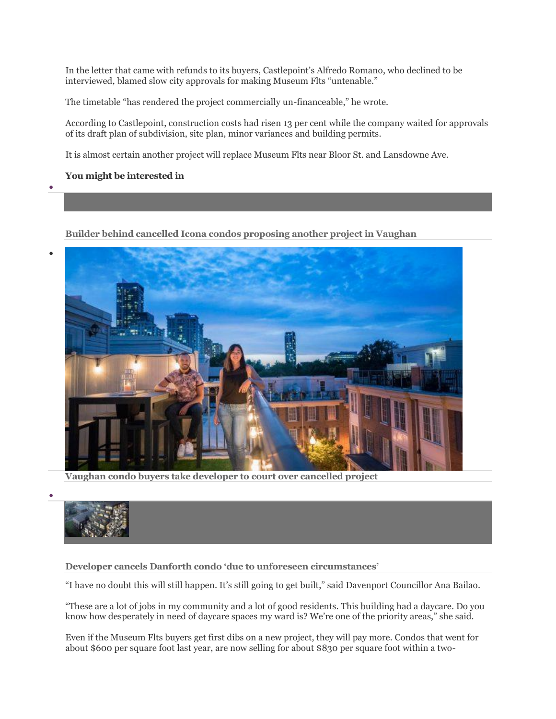In the letter that came with refunds to its buyers, Castlepoint's Alfredo Romano, who declined to be interviewed, blamed slow city approvals for making Museum Flts "untenable."

The timetable "has rendered the project commercially un-financeable," he wrote.

According to Castlepoint, construction costs had risen 13 per cent while the company waited for approvals of its draft plan of subdivision, site plan, minor variances and building permits.

It is almost certain another project will replace Museum Flts near Bloor St. and Lansdowne Ave.

## **You might be interested in**

•

•

•

**[Builder behind cancelled Icona condos proposing another project in Vaughan](https://www.thestar.com/business/2018/10/03/builder-behind-cancelled-icona-condos-proposing-another-project-in-vaughan.html?li_source=LI&li_medium=star_web_ymbii)**



**[Vaughan condo buyers take developer to court over cancelled project](https://www.thestar.com/business/2018/09/05/vaughan-condo-buyers-take-developer-to-court-over-cancelled-project.html?li_source=LI&li_medium=star_web_ymbii)**



**[Developer cancels Danforth condo 'due to unforeseen circumstances'](https://www.thestar.com/news/gta/2019/03/19/danforth-condo-cancelled-by-developer.html?li_source=LI&li_medium=star_web_ymbii)**

"I have no doubt this will still happen. It's still going to get built," said Davenport Councillor Ana Bailao.

"These are a lot of jobs in my community and a lot of good residents. This building had a daycare. Do you know how desperately in need of daycare spaces my ward is? We're one of the priority areas," she said.

Even if the Museum Flts buyers get first dibs on a new project, they will pay more. Condos that went for about \$600 per square foot last year, are now selling for about \$830 per square foot within a two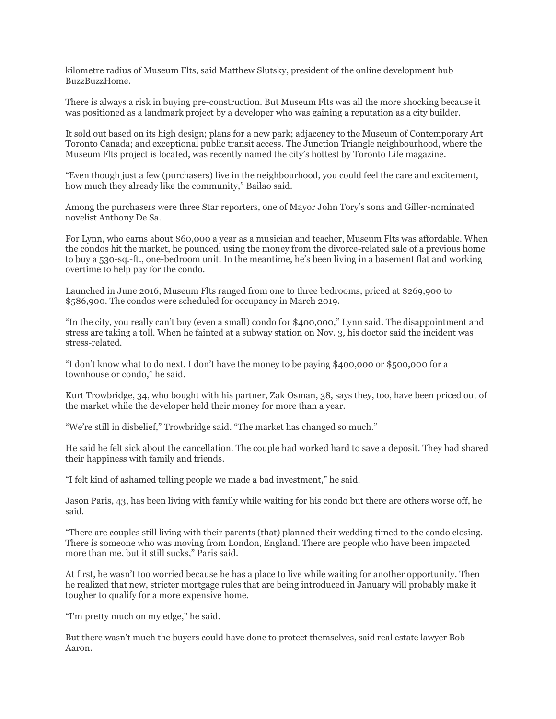kilometre radius of Museum Flts, said Matthew Slutsky, president of the online development hub BuzzBuzzHome.

There is always a risk in buying pre-construction. But Museum Flts was all the more shocking because it was positioned as a landmark project by a developer who was gaining a reputation as a city builder.

It sold out based on its high design; plans for a new park; adjacency to the Museum of Contemporary Art Toronto Canada; and exceptional public transit access. The Junction Triangle neighbourhood, where the Museum Flts project is located, was recently named the city's hottest by Toronto Life magazine.

"Even though just a few (purchasers) live in the neighbourhood, you could feel the care and excitement, how much they already like the community," Bailao said.

Among the purchasers were three Star reporters, one of Mayor John Tory's sons and Giller-nominated novelist Anthony De Sa.

For Lynn, who earns about \$60,000 a year as a musician and teacher, Museum Flts was affordable. When the condos hit the market, he pounced, using the money from the divorce-related sale of a previous home to buy a 530-sq.-ft., one-bedroom unit. In the meantime, he's been living in a basement flat and working overtime to help pay for the condo.

Launched in June 2016, Museum Flts ranged from one to three bedrooms, priced at \$269,900 to \$586,900. The condos were scheduled for occupancy in March 2019.

"In the city, you really can't buy (even a small) condo for \$400,000," Lynn said. The disappointment and stress are taking a toll. When he fainted at a subway station on Nov. 3, his doctor said the incident was stress-related.

"I don't know what to do next. I don't have the money to be paying \$400,000 or \$500,000 for a townhouse or condo," he said.

Kurt Trowbridge, 34, who bought with his partner, Zak Osman, 38, says they, too, have been priced out of the market while the developer held their money for more than a year.

"We're still in disbelief," Trowbridge said. "The market has changed so much."

He said he felt sick about the cancellation. The couple had worked hard to save a deposit. They had shared their happiness with family and friends.

"I felt kind of ashamed telling people we made a bad investment," he said.

Jason Paris, 43, has been living with family while waiting for his condo but there are others worse off, he said.

"There are couples still living with their parents (that) planned their wedding timed to the condo closing. There is someone who was moving from London, England. There are people who have been impacted more than me, but it still sucks," Paris said.

At first, he wasn't too worried because he has a place to live while waiting for another opportunity. Then he realized that new, stricter mortgage rules that are being introduced in January will probably make it tougher to qualify for a more expensive home.

"I'm pretty much on my edge," he said.

But there wasn't much the buyers could have done to protect themselves, said real estate lawyer Bob Aaron.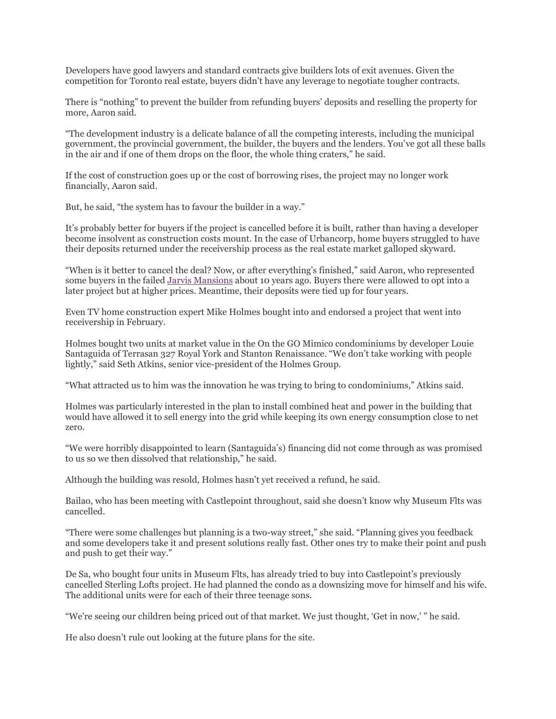Developers have good lawyers and standard contracts give builders lots of exit avenues. Given the competition for Toronto real estate, buyers didn't have any leverage to negotiate tougher contracts.

There is "nothing" to prevent the builder from refunding buyers' deposits and reselling the property for more, Aaron said.

"The development industry is a delicate balance of all the competing interests, including the municipal government, the provincial government, the builder, the buyers and the lenders. You've got all these balls in the air and if one of them drops on the floor, the whole thing craters," he said.

If the cost of construction goes up or the cost of borrowing rises, the project may no longer work financially, Aaron said.

But, he said, "the system has to favour the builder in a way."

It's probably better for buyers if the project is cancelled before it is built, rather than having a developer become insolvent as construction costs mount. In the case of Urbancorp, home buyers struggled to have their deposits returned under the receivership process as the real estate market galloped skyward.

"When is it better to cancel the deal? Now, or after everything's finished," said Aaron, who represented some buyers in the failed [Jarvis Mansions](https://www.thestar.com/news/2007/10/06/nightmare_on_jarvis_st.html) about 10 years ago. Buyers there were allowed to opt into a later project but at higher prices. Meantime, their deposits were tied up for four years.

Even TV home construction expert Mike Holmes bought into and endorsed a project that went into receivership in February.

Holmes bought two units at market value in the On the GO Mimico condominiums by developer Louie Santaguida of Terrasan 327 Royal York and Stanton Renaissance. "We don't take working with people lightly," said Seth Atkins, senior vice-president of the Holmes Group.

"What attracted us to him was the innovation he was trying to bring to condominiums," Atkins said.

Holmes was particularly interested in the plan to install combined heat and power in the building that would have allowed it to sell energy into the grid while keeping its own energy consumption close to net zero.

"We were horribly disappointed to learn (Santaguida's) financing did not come through as was promised to us so we then dissolved that relationship," he said.

Although the building was resold, Holmes hasn't yet received a refund, he said.

Bailao, who has been meeting with Castlepoint throughout, said she doesn't know why Museum Flts was cancelled.

"There were some challenges but planning is a two-way street," she said. "Planning gives you feedback and some developers take it and present solutions really fast. Other ones try to make their point and push and push to get their way."

De Sa, who bought four units in Museum Flts, has already tried to buy into Castlepoint's previously cancelled Sterling Lofts project. He had planned the condo as a downsizing move for himself and his wife. The additional units were for each of their three teenage sons.

"We're seeing our children being priced out of that market. We just thought, 'Get in now,' " he said.

He also doesn't rule out looking at the future plans for the site.